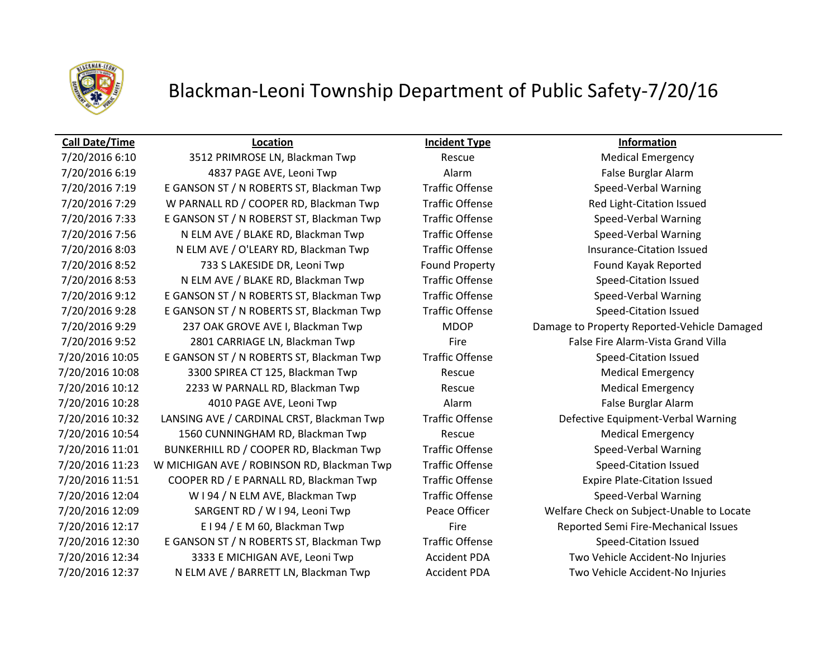

### **Call Date/Time Location Incident Type Information**

7/20/2016 6:10 3512 PRIMROSE LN, Blackman Twp Rescue Medical Emergency 7/20/2016 6:19 4837 PAGE AVE, Leoni Twp Alarm False Burglar Alarm 7/20/2016 7:19 E GANSON ST / N ROBERTS ST, Blackman Twp Traffic Offense Speed-Verbal Warning 7/20/2016 7:29 W PARNALL RD / COOPER RD, Blackman Twp Traffic Offense Red Light-Citation Issued 7/20/2016 7:33 E GANSON ST / N ROBERST ST, Blackman Twp Traffic Offense Speed-Verbal Warning 7/20/2016 7:56 N ELM AVE / BLAKE RD, Blackman Twp Traffic Offense Speed-Verbal Warning 7/20/2016 8:03 N ELM AVE / O'LEARY RD, Blackman Twp Traffic Offense Insurance-Citation Issued 7/20/2016 8:52 733 S LAKESIDE DR, Leoni Twp Found Property Found Kayak Reported 7/20/2016 8:53 N ELM AVE / BLAKE RD, Blackman Twp Traffic Offense Speed-Citation Issued 7/20/2016 9:12 E GANSON ST / N ROBERTS ST, Blackman Twp Traffic Offense Speed-Verbal Warning 7/20/2016 9:28 E GANSON ST / N ROBERTS ST, Blackman Twp Traffic Offense Speed-Citation Issued 7/20/2016 9:29 237 OAK GROVE AVE I, Blackman Twp MDOP Damage to Property Reported-Vehicle Damaged 7/20/2016 9:52 2801 CARRIAGE LN, Blackman Twp Fire Fire False Fire Alarm-Vista Grand Villa 7/20/2016 10:05 E GANSON ST / N ROBERTS ST, Blackman Twp Traffic Offense Speed-Citation Issued 7/20/2016 10:08 3300 SPIREA CT 125, Blackman Twp Rescue Medical Emergency 7/20/2016 10:12 2233 W PARNALL RD, Blackman Twp Rescue Rescue Medical Emergency 7/20/2016 10:28 4010 PAGE AVE, Leoni Twp Alarm False Burglar Alarm 7/20/2016 10:32 LANSING AVE / CARDINAL CRST, Blackman Twp Traffic Offense Defective Equipment-Verbal Warning 7/20/2016 10:54 1560 CUNNINGHAM RD, Blackman Twp Rescue Rescue Medical Emergency 7/20/2016 11:01 BUNKERHILL RD / COOPER RD, Blackman Twp Traffic Offense Speed-Verbal Warning 7/20/2016 11:23 W MICHIGAN AVE / ROBINSON RD, Blackman Twp Traffic Offense Speed-Citation Issued 7/20/2016 11:51 COOPER RD / E PARNALL RD, Blackman Twp Traffic Offense Expire Plate-Citation Issued 7/20/2016 12:04 W I 94 / N ELM AVE, Blackman Twp Traffic Offense Speed-Verbal Warning 7/20/2016 12:09 SARGENT RD / W I 94, Leoni Twp Peace Officer Welfare Check on Subject-Unable to Locate 7/20/2016 12:17 E I 94 / E M 60, Blackman Twp Fire Fire Reported Semi Fire-Mechanical Issues 7/20/2016 12:30 E GANSON ST / N ROBERTS ST, Blackman Twp Traffic Offense Speed-Citation Issued 7/20/2016 12:34 3333 E MICHIGAN AVE, Leoni Twp Accident PDA Two Vehicle Accident-No Injuries 7/20/2016 12:37 N ELM AVE / BARRETT LN, Blackman Twp Accident PDA Two Vehicle Accident-No Injuries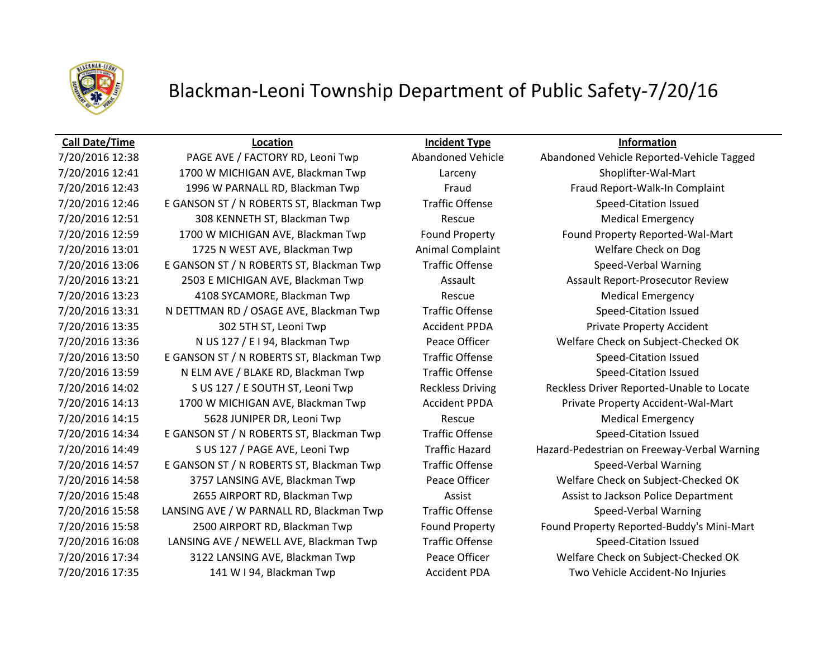

### **Call Date/Time Location Incident Type Information**

7/20/2016 12:41 1700 W MICHIGAN AVE, Blackman Twp Larceny Shoplifter-Wal-Mart 7/20/2016 12:43 1996 W PARNALL RD, Blackman Twp Fraud Fraud Report-Walk-In Complaint 7/20/2016 12:46 E GANSON ST / N ROBERTS ST, Blackman Twp Traffic Offense Speed-Citation Issued 7/20/2016 12:51 308 KENNETH ST, Blackman Twp Rescue Medical Emergency 7/20/2016 12:59 1700 W MICHIGAN AVE, Blackman Twp Found Property Found Property Reported-Wal-Mart 7/20/2016 13:01 1725 N WEST AVE, Blackman Twp Animal Complaint Welfare Check on Dog 7/20/2016 13:06 E GANSON ST / N ROBERTS ST, Blackman Twp Traffic Offense Speed-Verbal Warning 7/20/2016 13:21 2503 E MICHIGAN AVE, Blackman Twp Assault Assault Report-Prosecutor Review 7/20/2016 13:23 4108 SYCAMORE, Blackman Twp Rescue Medical Emergency 7/20/2016 13:31 N DETTMAN RD / OSAGE AVE, Blackman Twp Traffic Offense Speed-Citation Issued 7/20/2016 13:35 302 5TH ST, Leoni Twp Accident PPDA Private Property Accident 7/20/2016 13:36 N US 127 / E I 94, Blackman Twp Peace Officer Welfare Check on Subject-Checked OK 7/20/2016 13:50 E GANSON ST / N ROBERTS ST, Blackman Twp Traffic Offense Speed-Citation Issued 7/20/2016 13:59 N ELM AVE / BLAKE RD, Blackman Twp Traffic Offense Speed-Citation Issued 7/20/2016 14:02 S US 127 / E SOUTH ST, Leoni Twp Reckless Driving Reckless Driver Reported-Unable to Locate 7/20/2016 14:13 1700 W MICHIGAN AVE, Blackman Twp Accident PPDA Private Property Accident-Wal-Mart 7/20/2016 14:15 5628 JUNIPER DR, Leoni Twp Rescue Rescue Medical Emergency 7/20/2016 14:34 E GANSON ST / N ROBERTS ST, Blackman Twp Traffic Offense Speed-Citation Issued 7/20/2016 14:57 E GANSON ST / N ROBERTS ST, Blackman Twp Traffic Offense Speed-Verbal Warning 7/20/2016 14:58 3757 LANSING AVE, Blackman Twp Peace Officer Welfare Check on Subject-Checked OK 7/20/2016 15:48 2655 AIRPORT RD, Blackman Twp **Assist Assist Assist to Jackson Police Department** 7/20/2016 15:58 LANSING AVE / W PARNALL RD, Blackman Twp Traffic Offense Speed-Verbal Warning 7/20/2016 15:58 2500 AIRPORT RD, Blackman Twp Found Property Found Property Reported-Buddy's Mini-Mart 7/20/2016 16:08 LANSING AVE / NEWELL AVE, Blackman Twp Traffic Offense Speed-Citation Issued 7/20/2016 17:34 3122 LANSING AVE, Blackman Twp Peace Officer Welfare Check on Subject-Checked OK 7/20/2016 17:35 141 W I 94, Blackman Twp Accident PDA Two Vehicle Accident-No Injuries

7/20/2016 12:38 PAGE AVE / FACTORY RD, Leoni Twp Abandoned Vehicle Abandoned Vehicle Reported-Vehicle Tagged 7/20/2016 14:49 S US 127 / PAGE AVE, Leoni Twp Traffic Hazard Hazard-Pedestrian on Freeway-Verbal Warning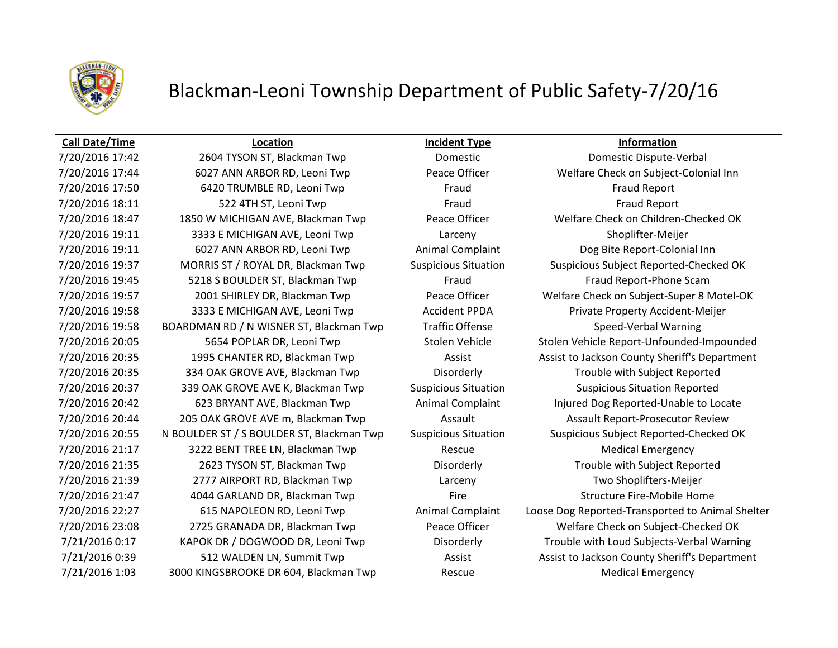

### **Call Date/Time Location Incident Type Information**

7/20/2016 17:42 2604 TYSON ST, Blackman Twp Domestic Domestic Dispute-Verbal 7/20/2016 17:44 6027 ANN ARBOR RD, Leoni Twp Peace Officer Welfare Check on Subject-Colonial Inn 7/20/2016 17:50 6420 TRUMBLE RD, Leoni Twp Fraud Fraud Fraud Fraud Report 7/20/2016 18:11 522 4TH ST, Leoni Twp Fraud Fraud Fraud Fraud Report 7/20/2016 18:47 1850 W MICHIGAN AVE, Blackman Twp Peace Officer Welfare Check on Children-Checked OK 7/20/2016 19:11 3333 E MICHIGAN AVE, Leoni Twp Larceny Shoplifter-Meijer 7/20/2016 19:11 6027 ANN ARBOR RD, Leoni Twp Animal Complaint Dog Bite Report-Colonial Inn 7/20/2016 19:37 MORRIS ST / ROYAL DR, Blackman Twp Suspicious Situation Suspicious Subject Reported-Checked OK 7/20/2016 19:45 5218 S BOULDER ST, Blackman Twp Fraud Fraud Report-Phone Scam 7/20/2016 19:58 3333 E MICHIGAN AVE, Leoni Twp Accident PPDA Private Property Accident-Meijer 7/20/2016 19:58 BOARDMAN RD / N WISNER ST, Blackman Twp Traffic Offense Speed-Verbal Warning 7/20/2016 20:35 334 OAK GROVE AVE, Blackman Twp Disorderly Trouble with Subject Reported 7/20/2016 20:37 339 OAK GROVE AVE K, Blackman Twp Suspicious Situation Suspicious Situation Reported 7/20/2016 20:42 623 BRYANT AVE, Blackman Twp Animal Complaint Injured Dog Reported-Unable to Locate 7/20/2016 20:44 205 OAK GROVE AVE m, Blackman Twp Assault Assault Report-Prosecutor Review 7/20/2016 20:55 N BOULDER ST / S BOULDER ST, Blackman Twp Suspicious Situation Suspicious Subject Reported-Checked OK 7/20/2016 21:17 3222 BENT TREE LN, Blackman Twp Rescue Rescue Medical Emergency 7/20/2016 21:35 2623 TYSON ST, Blackman Twp Disorderly Trouble with Subject Reported 7/20/2016 21:39 2777 AIRPORT RD, Blackman Twp Larceny Two Shoplifters-Meijer 7/20/2016 21:47 4044 GARLAND DR, Blackman Twp Fire Fire Structure Fire-Mobile Home 7/20/2016 23:08 2725 GRANADA DR, Blackman Twp Peace Officer Welfare Check on Subject-Checked OK 7/21/2016 1:03 3000 KINGSBROOKE DR 604, Blackman Twp Rescue Medical Emergency

7/20/2016 19:57 2001 SHIRLEY DR, Blackman Twp Peace Officer Welfare Check on Subject-Super 8 Motel-OK 7/20/2016 20:05 5654 POPLAR DR, Leoni Twp Stolen Vehicle Stolen Vehicle Report-Unfounded-Impounded 7/20/2016 20:35 1995 CHANTER RD, Blackman Twp **Assist Assist Learning Assist to Jackson County Sheriff's Department** 7/20/2016 22:27 615 NAPOLEON RD, Leoni Twp Animal Complaint Loose Dog Reported-Transported to Animal Shelter 7/21/2016 0:17 KAPOK DR / DOGWOOD DR, Leoni Twp Disorderly Disorderly Trouble with Loud Subjects-Verbal Warning 7/21/2016 0:39 512 WALDEN LN, Summit Twp **Assist Assist Assist County Sheriff's Department**